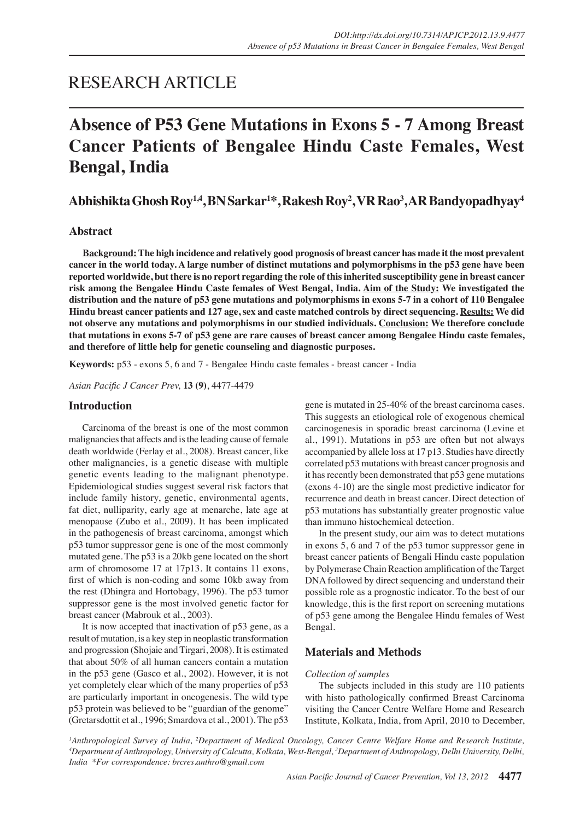## RESEARCH ARTICLE

# **Absence of P53 Gene Mutations in Exons 5 - 7 Among Breast Cancer Patients of Bengalee Hindu Caste Females, West Bengal, India**

**Abhishikta Ghosh Roy1,4, BN Sarkar1 \*, Rakesh Roy2 , VR Rao3 , AR Bandyopadhyay4**

## **Abstract**

**Background: The high incidence and relatively good prognosis of breast cancer has made it the most prevalent cancer in the world today. A large number of distinct mutations and polymorphisms in the p53 gene have been reported worldwide, but there is no report regarding the role of this inherited susceptibility gene in breast cancer risk among the Bengalee Hindu Caste females of West Bengal, India. Aim of the Study: We investigated the distribution and the nature of p53 gene mutations and polymorphisms in exons 5-7 in a cohort of 110 Bengalee Hindu breast cancer patients and 127 age, sex and caste matched controls by direct sequencing. Results: We did not observe any mutations and polymorphisms in our studied individuals. Conclusion: We therefore conclude that mutations in exons 5-7 of p53 gene are rare causes of breast cancer among Bengalee Hindu caste females, and therefore of little help for genetic counseling and diagnostic purposes.** 

**Keywords:** p53 - exons 5, 6 and 7 - Bengalee Hindu caste females - breast cancer - India

*Asian Pacific J Cancer Prev,* **13 (9)**, 4477-4479

## **Introduction**

Carcinoma of the breast is one of the most common malignancies that affects and is the leading cause of female death worldwide (Ferlay et al., 2008). Breast cancer, like other malignancies, is a genetic disease with multiple genetic events leading to the malignant phenotype. Epidemiological studies suggest several risk factors that include family history, genetic, environmental agents, fat diet, nulliparity, early age at menarche, late age at menopause (Zubo et al., 2009). It has been implicated in the pathogenesis of breast carcinoma, amongst which p53 tumor suppressor gene is one of the most commonly mutated gene. The p53 is a 20kb gene located on the short arm of chromosome 17 at 17p13. It contains 11 exons, first of which is non-coding and some 10kb away from the rest (Dhingra and Hortobagy, 1996). The p53 tumor suppressor gene is the most involved genetic factor for breast cancer (Mabrouk et al., 2003).

It is now accepted that inactivation of p53 gene, as a result of mutation, is a key step in neoplastic transformation and progression (Shojaie and Tirgari, 2008). It is estimated that about 50% of all human cancers contain a mutation in the p53 gene (Gasco et al., 2002). However, it is not yet completely clear which of the many properties of p53 are particularly important in oncogenesis. The wild type p53 protein was believed to be "guardian of the genome" (Gretarsdottit et al., 1996; Smardova et al., 2001). The p53

gene is mutated in 25-40% of the breast carcinoma cases. This suggests an etiological role of exogenous chemical carcinogenesis in sporadic breast carcinoma (Levine et al., 1991). Mutations in p53 are often but not always accompanied by allele loss at 17 p13. Studies have directly correlated p53 mutations with breast cancer prognosis and it has recently been demonstrated that p53 gene mutations (exons 4-10) are the single most predictive indicator for recurrence and death in breast cancer. Direct detection of p53 mutations has substantially greater prognostic value than immuno histochemical detection.

In the present study, our aim was to detect mutations in exons 5, 6 and 7 of the p53 tumor suppressor gene in breast cancer patients of Bengali Hindu caste population by Polymerase Chain Reaction amplification of the Target DNA followed by direct sequencing and understand their possible role as a prognostic indicator. To the best of our knowledge, this is the first report on screening mutations of p53 gene among the Bengalee Hindu females of West Bengal.

### **Materials and Methods**

#### *Collection of samples*

The subjects included in this study are 110 patients with histo pathologically confirmed Breast Carcinoma visiting the Cancer Centre Welfare Home and Research Institute, Kolkata, India, from April, 2010 to December,

*1 Anthropological Survey of India, <sup>2</sup> Department of Medical Oncology, Cancer Centre Welfare Home and Research Institute, 4 Department of Anthropology, University of Calcutta, Kolkata, West-Bengal, <sup>3</sup> Department of Anthropology, Delhi University, Delhi, India \*For correspondence: brcres.anthro@gmail.com*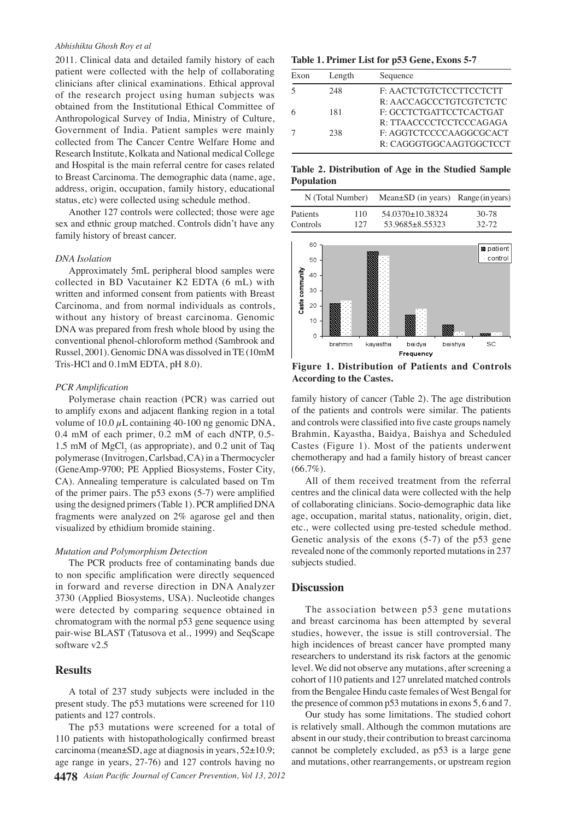#### *Abhishikta Ghosh Roy et al*

2011. Clinical data and detailed family history of each patient were collected with the help of collaborating clinicians after clinical examinations. Ethical approval of the research project using human subjects was obtained from the Institutional Ethical Committee of Anthropological Survey of India, Ministry of Culture, Government of India. Patient samples were mainly collected from The Cancer Centre Welfare Home and Research Institute, Kolkata and National medical College and Hospital is the main referral centre for cases related to Breast Carcinoma. The demographic data (name, age, address, origin, occupation, family history, educational status, etc) were collected using schedule method.

Another 127 controls were collected; those were age sex and ethnic group matched. Controls didn't have any family history of breast cancer.

#### *DNA Isolation*

Approximately 5mL peripheral blood samples were collected in BD Vacutainer K2 EDTA (6 mL) with written and informed consent from patients with Breast Carcinoma, and from normal individuals as controls, without any history of breast carcinoma. Genomic DNA was prepared from fresh whole blood by using the conventional phenol-chloroform method (Sambrook and Russel, 2001). Genomic DNA was dissolved in TE (10mM Tris-HCl and 0.1mM EDTA, pH 8.0).

#### *PCR Amplification*

Polymerase chain reaction (PCR) was carried out to amplify exons and adjacent flanking region in a total volume of  $10.0 \mu L$  containing 40-100 ng genomic DNA, 0.4 mM of each primer, 0.2 mM of each dNTP, 0.5- 1.5 mM of  $MgCl<sub>2</sub>$  (as appropriate), and 0.2 unit of Taq polymerase (Invitrogen, Carlsbad, CA) in a Thermocycler (GeneAmp-9700; PE Applied Biosystems, Foster City, CA). Annealing temperature is calculated based on Tm of the primer pairs. The p53 exons (5-7) were amplified using the designed primers (Table 1). PCR amplified DNA fragments were analyzed on 2% agarose gel and then visualized by ethidium bromide staining.

#### *Mutation and Polymorphism Detection*

The PCR products free of contaminating bands due to non specific amplification were directly sequenced in forward and reverse direction in DNA Analyzer 3730 (Applied Biosystems, USA). Nucleotide changes were detected by comparing sequence obtained in chromatogram with the normal p53 gene sequence using pair-wise BLAST (Tatusova et al., 1999) and SeqScape software v2.5

## **Results**

A total of 237 study subjects were included in the present study. The p53 mutations were screened for 110 patients and 127 controls.

**4478** *Asian Pacific Journal of Cancer Prevention, Vol 13, 2012* The p53 mutations were screened for a total of 110 patients with histopathologically confirmed breast carcinoma (mean±SD, age at diagnosis in years, 52±10.9; age range in years, 27-76) and 127 controls having no

**Table 1. Primer List for p53 Gene, Exons 5-7**

| Exon | Length | Sequence                |
|------|--------|-------------------------|
|      | 248    | F: AACTCTGTCTCCTTCCTCTT |
|      |        | R: AACCAGCCCTGTCGTCTCTC |
|      | 181    | F: GCCTCTGATTCCTCACTGAT |
|      |        | R: TTAACCCCTCCTCCCAGAGA |
|      | 238    | F: AGGTCTCCCCAAGGCGCACT |
|      |        | R: CAGGGTGGCAAGTGGCTCCT |

**Table 2. Distribution of Age in the Studied Sample Population**

| N (Total Number) |     | Mean $\pm$ SD (in years) Range (in years) |       |
|------------------|-----|-------------------------------------------|-------|
| Patients         | 110 | 54.0370+10.38324                          | 30-78 |
| Controls         | 127 | $53.9685 + 8.55323$                       | 32-72 |



**Figure 1. Distribution of Patients and Controls According to the Castes.**

family history of cancer (Table 2). The age distribution of the patients and controls were similar. The patients and controls were classified into five caste groups namely Brahmin, Kayastha, Baidya, Baishya and Scheduled Castes (Figure 1). Most of the patients underwent chemotherapy and had a family history of breast cancer  $(66.7\%)$ .

All of them received treatment from the referral centres and the clinical data were collected with the help of collaborating clinicians. Socio-demographic data like age, occupation, marital status, nationality, origin, diet, etc., were collected using pre-tested schedule method. Genetic analysis of the exons (5-7) of the p53 gene revealed none of the commonly reported mutations in 237 subjects studied.

## **Discussion**

The association between p53 gene mutations and breast carcinoma has been attempted by several studies, however, the issue is still controversial. The high incidences of breast cancer have prompted many researchers to understand its risk factors at the genomic level. We did not observe any mutations, after screening a cohort of 110 patients and 127 unrelated matched controls from the Bengalee Hindu caste females of West Bengal for the presence of common p53 mutations in exons 5, 6 and 7.

Our study has some limitations. The studied cohort is relatively small. Although the common mutations are absent in our study, their contribution to breast carcinoma cannot be completely excluded, as p53 is a large gene and mutations, other rearrangements, or upstream region